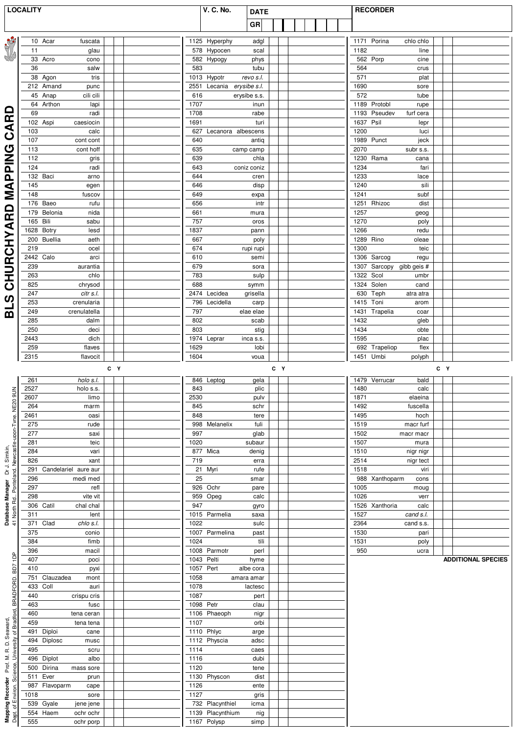|                                                                                             | <b>LOCALITY</b>                           | <b>V. C. No.</b><br><b>DATE</b>        | <b>RECORDER</b>                                 |  |  |
|---------------------------------------------------------------------------------------------|-------------------------------------------|----------------------------------------|-------------------------------------------------|--|--|
|                                                                                             |                                           | GR                                     |                                                 |  |  |
|                                                                                             |                                           |                                        |                                                 |  |  |
| REAR PAS                                                                                    | 10 Acar                                   | 1125 Hyperphy                          | 1171 Porina                                     |  |  |
|                                                                                             | fuscata                                   | adgl                                   | chlo chlo                                       |  |  |
|                                                                                             | 11                                        | 578 Hypocen                            | 1182                                            |  |  |
|                                                                                             | glau                                      | scal                                   | line                                            |  |  |
|                                                                                             | 33 Acro                                   | 582 Hypogy                             | 562 Porp                                        |  |  |
|                                                                                             | cono                                      | phys                                   | cine                                            |  |  |
|                                                                                             | 36                                        | 583                                    | 564                                             |  |  |
|                                                                                             | salw                                      | tubu                                   | crus                                            |  |  |
|                                                                                             | 38 Agon                                   | 1013 Hypotr                            | 571                                             |  |  |
|                                                                                             | tris                                      | revo s.l.                              | plat                                            |  |  |
|                                                                                             | 212 Amand<br>punc                         | 2551 Lecania erysibe s.l.              | 1690<br>sore                                    |  |  |
|                                                                                             | $45$ Anap                                 | 616                                    | 572                                             |  |  |
|                                                                                             | cili cili                                 | erysibe s.s.                           | tube                                            |  |  |
| ◘                                                                                           | 64 Arthon                                 | 1707                                   | 1189 Protobl                                    |  |  |
|                                                                                             | lapi                                      | inun                                   | rupe                                            |  |  |
|                                                                                             | 69                                        | 1708                                   | 1193 Pseudev                                    |  |  |
|                                                                                             | radi                                      | rabe                                   | furf cera                                       |  |  |
| Œ                                                                                           | 102 Aspi                                  | 1691                                   | 1637 Psil                                       |  |  |
|                                                                                             | caesiocin                                 | turi                                   | lepr                                            |  |  |
| ⋖                                                                                           | 103                                       | 627 Lecanora albescens                 | 1200                                            |  |  |
| ပ                                                                                           | calc                                      |                                        | luci                                            |  |  |
|                                                                                             | 107                                       | 640                                    | 1989 Punct                                      |  |  |
|                                                                                             | cont cont                                 | antiq                                  | jeck                                            |  |  |
|                                                                                             | 113<br>cont hoff<br>112                   | 635<br>camp camp                       | 2070<br>subr s.s.                               |  |  |
| <b>DING</b>                                                                                 | gris<br>124<br>radi                       | 639<br>chla<br>643<br>coniz coniz      | 1230 Rama<br>cana<br>1234<br>fari               |  |  |
| ൨                                                                                           | 132 Baci                                  | 644                                    | 1233                                            |  |  |
|                                                                                             | arno                                      | cren                                   | lace                                            |  |  |
|                                                                                             | 145                                       | 646                                    | 1240                                            |  |  |
|                                                                                             | egen                                      | disp                                   | sili                                            |  |  |
| Μ<br>Σ                                                                                      | 148                                       | 649                                    | 1241                                            |  |  |
|                                                                                             | fuscov                                    | expa                                   | subf                                            |  |  |
| $\Omega$                                                                                    | 176 Baeo<br>rufu<br>179 Belonia<br>nida   | 656<br>intr<br>661<br>mura             | 1251 Rhizoc<br>dist<br>1257                     |  |  |
| Œ                                                                                           | 165 Bili<br>sabu                          | 757<br>oros                            | geog<br>1270<br>poly                            |  |  |
|                                                                                             | 1628 Botry                                | 1837                                   | 1266                                            |  |  |
|                                                                                             | lesd                                      | pann                                   | redu                                            |  |  |
|                                                                                             | 200 Buellia                               | 667                                    | 1289 Rino                                       |  |  |
|                                                                                             | aeth                                      | poly                                   | oleae                                           |  |  |
|                                                                                             | 219                                       | 674                                    | 1300                                            |  |  |
|                                                                                             | ocel                                      | rupi rupi                              | teic                                            |  |  |
| <b>HURCHYA</b>                                                                              | 2442 Calo<br>arci<br>239<br>aurantia      | 610<br>semi<br>679<br>sora             | 1306 Sarcog<br>regu<br>1307 Sarcopy gibb geis # |  |  |
|                                                                                             | chlo                                      | 783                                    | 1322 Scol                                       |  |  |
|                                                                                             | 263                                       | sulp                                   | umbr                                            |  |  |
| $\overline{\mathbf{o}}$                                                                     | 825                                       | 688                                    | 1324 Solen                                      |  |  |
|                                                                                             | chrysod                                   | symm                                   | cand                                            |  |  |
| ഗ                                                                                           | 247                                       | 2474 Lecidea                           | 630 Teph                                        |  |  |
|                                                                                             | citr s.l.                                 | grisella                               | atra atra                                       |  |  |
|                                                                                             | 253                                       | 796 Lecidella                          | 1415 Toni                                       |  |  |
|                                                                                             | crenularia                                | carp                                   | arom                                            |  |  |
| ഇ                                                                                           | 249                                       | 797                                    | 1431 Trapelia                                   |  |  |
|                                                                                             | crenulatella                              | elae elae                              | coar                                            |  |  |
|                                                                                             | 285                                       | 802                                    | 1432                                            |  |  |
|                                                                                             | dalm                                      | scab                                   | gleb                                            |  |  |
|                                                                                             | 250                                       | 803                                    | 1434                                            |  |  |
|                                                                                             | deci                                      | stig                                   | obte                                            |  |  |
|                                                                                             | 2443                                      | 1974 Leprar                            | 1595                                            |  |  |
|                                                                                             | dich                                      | inca s.s.                              | plac                                            |  |  |
|                                                                                             | 259                                       | 1629                                   | 692 Trapeliop                                   |  |  |
|                                                                                             | flaves                                    | lobi                                   | flex                                            |  |  |
|                                                                                             | 2315                                      | 1604                                   | 1451 Umbi                                       |  |  |
|                                                                                             | flavocit                                  | voua                                   | polyph                                          |  |  |
|                                                                                             | C Y                                       | C Y                                    | C Y                                             |  |  |
|                                                                                             | 261                                       | 846 Leptog                             | 1479 Verrucar                                   |  |  |
|                                                                                             | holo s.l.                                 | gela                                   | bald                                            |  |  |
| $\leq$                                                                                      | 2527                                      | 843                                    | 1480                                            |  |  |
|                                                                                             | holo s.s.                                 | plic                                   | calc                                            |  |  |
|                                                                                             | 2607                                      | 2530                                   | 1871                                            |  |  |
|                                                                                             | limo                                      | pulv                                   | elaeina                                         |  |  |
|                                                                                             | 264                                       | 845                                    | 1492                                            |  |  |
|                                                                                             | marm                                      | schr                                   | fuscella                                        |  |  |
|                                                                                             | 2461                                      | 848                                    | 1495                                            |  |  |
|                                                                                             | oasi                                      | tere                                   | hoch                                            |  |  |
|                                                                                             | 275                                       | 998 Melanelix                          | 1519                                            |  |  |
|                                                                                             | rude                                      | fuli                                   | macr furf                                       |  |  |
|                                                                                             | 277                                       | 997                                    | 1502                                            |  |  |
|                                                                                             | saxi                                      | glab                                   | macr macr                                       |  |  |
|                                                                                             | 281                                       | 1020                                   | 1507                                            |  |  |
|                                                                                             | teic                                      | subaur                                 | mura                                            |  |  |
|                                                                                             | 284                                       | 877 Mica                               | 1510                                            |  |  |
|                                                                                             | vari                                      | denig                                  | nigr nigr                                       |  |  |
|                                                                                             | 826                                       | 719                                    | 2514                                            |  |  |
|                                                                                             | xant                                      | erra                                   | nigr tect                                       |  |  |
|                                                                                             | Candelariel aure aur                      | 21 Myri                                | 1518                                            |  |  |
|                                                                                             | 291                                       | rufe                                   | viri                                            |  |  |
| <b>Database Manager</b> Dr J. Simkin,<br>41 North Rd., Ponteland, Newcastle-upon-Tyne. NE20 | 296                                       | 25                                     | 988 Xanthoparm                                  |  |  |
|                                                                                             | medi med                                  | smar                                   | cons                                            |  |  |
|                                                                                             | 297                                       | 926 Ochr                               | 1005                                            |  |  |
|                                                                                             | refl                                      | pare                                   | moug                                            |  |  |
|                                                                                             | 298                                       | 959 Opeg                               | 1026                                            |  |  |
|                                                                                             | vite vit                                  | calc                                   | verr                                            |  |  |
|                                                                                             | 306 Catil                                 | 947                                    | 1526 Xanthoria                                  |  |  |
|                                                                                             | chal chal                                 | gyro                                   | calc                                            |  |  |
|                                                                                             | 311                                       | 1015 Parmelia                          | 1527                                            |  |  |
|                                                                                             | lent                                      | saxa                                   | cand s.l.                                       |  |  |
|                                                                                             | 371<br>chlo s.l.<br>Clad                  | 1022<br>sulc                           | 2364<br>cand s.s.                               |  |  |
|                                                                                             | 375<br>conio<br>384                       | 1007 Parmelina<br>past<br>1024<br>tili | 1530<br>pari<br>1531                            |  |  |
|                                                                                             | fimb<br>396<br>macil                      | 1008 Parmotr<br>perl                   | poly<br>950<br>ucra                             |  |  |
| eqt                                                                                         | 407<br>poci                               | 1043 Pelti<br>hyme                     | <b>ADDITIONAL SPECIES</b>                       |  |  |
| BD7                                                                                         | 410<br>pyxi                               | 1057 Pert<br>albe cora                 |                                                 |  |  |
|                                                                                             | 751<br>Clauzadea<br>mont                  | 1058<br>amara amar                     |                                                 |  |  |
|                                                                                             | 433<br>Coll<br>auri<br>440<br>crispu cris | 1078<br>lactesc<br>1087<br>pert        |                                                 |  |  |
|                                                                                             | 463<br>fusc                               | 1098 Petr<br>clau                      |                                                 |  |  |
| <b>ler</b> Prof. M. R. D. Seaward,<br>Science, University of Bradford, BRADFORD.            | 460<br>tena ceran                         | 1106 Phaeoph<br>nigr                   |                                                 |  |  |
|                                                                                             | 459<br>tena tena                          | 1107<br>orbi                           |                                                 |  |  |
|                                                                                             | 491<br>Diploi<br>cane<br>494              | 1110 Phlyc<br>arge                     |                                                 |  |  |
|                                                                                             | Diplosc<br>musc<br>495<br>scru            | 1112 Physcia<br>adsc<br>1114<br>caes   |                                                 |  |  |
|                                                                                             | 496 Diplot<br>albo                        | 1116<br>dubi                           |                                                 |  |  |
|                                                                                             | 500 Dirina<br>mass sore                   | 1120<br>tene                           |                                                 |  |  |
|                                                                                             | Ever<br>511<br>prun                       | 1130 Physcon<br>dist                   |                                                 |  |  |
| <b>Mapping Recorder</b><br>Dept. of Environ. Sci                                            | 987 Flavoparm<br>cape<br>1018             | 1126<br>ente<br>1127<br>gris           |                                                 |  |  |
|                                                                                             | sore<br>Gyale<br>539<br>jene jene         | 732 Placynthiel<br>icma                |                                                 |  |  |
|                                                                                             | 554 Haem<br>ochr ochr                     | 1139 Placynthium<br>nig                |                                                 |  |  |
|                                                                                             | 555<br>ochr porp                          | 1167 Polysp<br>simp                    |                                                 |  |  |